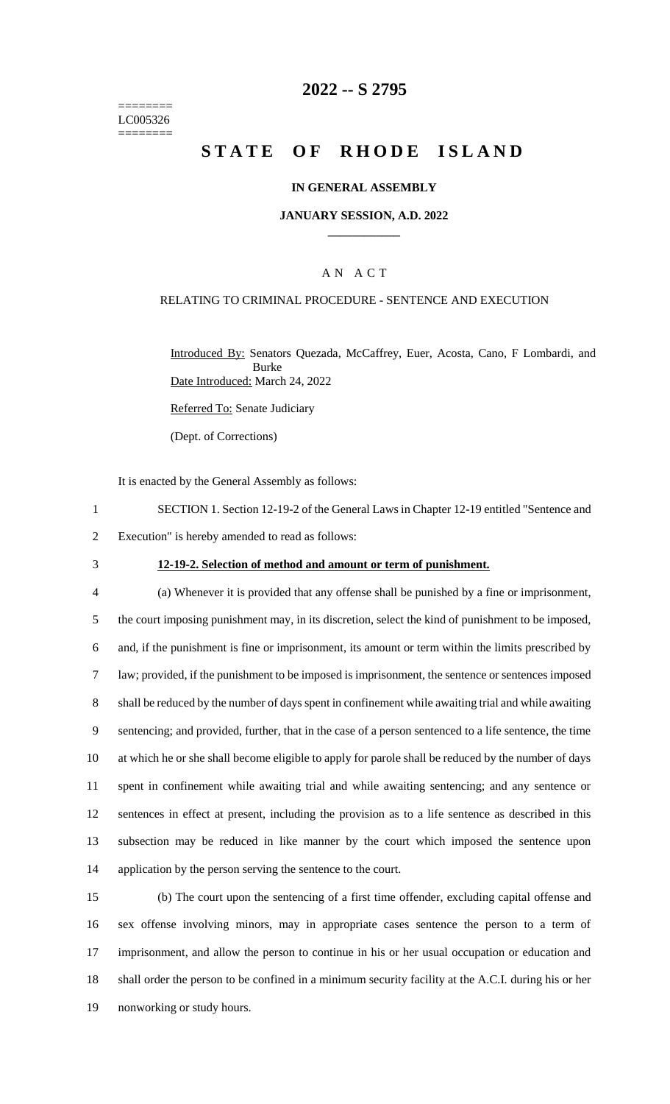======== LC005326 ========

## **2022 -- S 2795**

# **STATE OF RHODE ISLAND**

### **IN GENERAL ASSEMBLY**

### **JANUARY SESSION, A.D. 2022 \_\_\_\_\_\_\_\_\_\_\_\_**

### A N A C T

### RELATING TO CRIMINAL PROCEDURE - SENTENCE AND EXECUTION

Introduced By: Senators Quezada, McCaffrey, Euer, Acosta, Cano, F Lombardi, and Burke Date Introduced: March 24, 2022

Referred To: Senate Judiciary

(Dept. of Corrections)

It is enacted by the General Assembly as follows:

- 1 SECTION 1. Section 12-19-2 of the General Laws in Chapter 12-19 entitled "Sentence and
- 2 Execution" is hereby amended to read as follows:
- 

#### 3 **12-19-2. Selection of method and amount or term of punishment.**

 (a) Whenever it is provided that any offense shall be punished by a fine or imprisonment, the court imposing punishment may, in its discretion, select the kind of punishment to be imposed, and, if the punishment is fine or imprisonment, its amount or term within the limits prescribed by law; provided, if the punishment to be imposed is imprisonment, the sentence or sentences imposed shall be reduced by the number of days spent in confinement while awaiting trial and while awaiting sentencing; and provided, further, that in the case of a person sentenced to a life sentence, the time at which he or she shall become eligible to apply for parole shall be reduced by the number of days spent in confinement while awaiting trial and while awaiting sentencing; and any sentence or sentences in effect at present, including the provision as to a life sentence as described in this subsection may be reduced in like manner by the court which imposed the sentence upon 14 application by the person serving the sentence to the court.

 (b) The court upon the sentencing of a first time offender, excluding capital offense and sex offense involving minors, may in appropriate cases sentence the person to a term of imprisonment, and allow the person to continue in his or her usual occupation or education and shall order the person to be confined in a minimum security facility at the A.C.I. during his or her nonworking or study hours.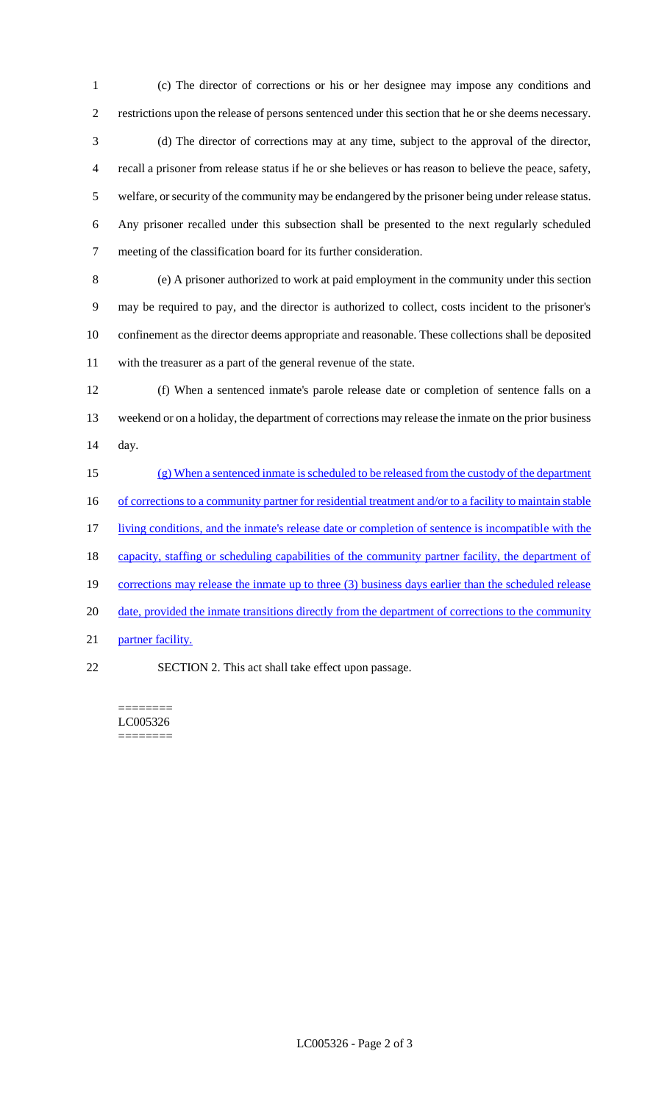restrictions upon the release of persons sentenced under this section that he or she deems necessary. (d) The director of corrections may at any time, subject to the approval of the director, recall a prisoner from release status if he or she believes or has reason to believe the peace, safety, welfare, or security of the community may be endangered by the prisoner being under release status. Any prisoner recalled under this subsection shall be presented to the next regularly scheduled meeting of the classification board for its further consideration.

(c) The director of corrections or his or her designee may impose any conditions and

 (e) A prisoner authorized to work at paid employment in the community under this section may be required to pay, and the director is authorized to collect, costs incident to the prisoner's confinement as the director deems appropriate and reasonable. These collections shall be deposited with the treasurer as a part of the general revenue of the state.

 (f) When a sentenced inmate's parole release date or completion of sentence falls on a weekend or on a holiday, the department of corrections may release the inmate on the prior business day.

 (g) When a sentenced inmate is scheduled to be released from the custody of the department 16 of corrections to a community partner for residential treatment and/or to a facility to maintain stable 17 living conditions, and the inmate's release date or completion of sentence is incompatible with the 18 capacity, staffing or scheduling capabilities of the community partner facility, the department of 19 corrections may release the inmate up to three (3) business days earlier than the scheduled release 20 date, provided the inmate transitions directly from the department of corrections to the community 21 partner facility.

SECTION 2. This act shall take effect upon passage.

======== LC005326 ========